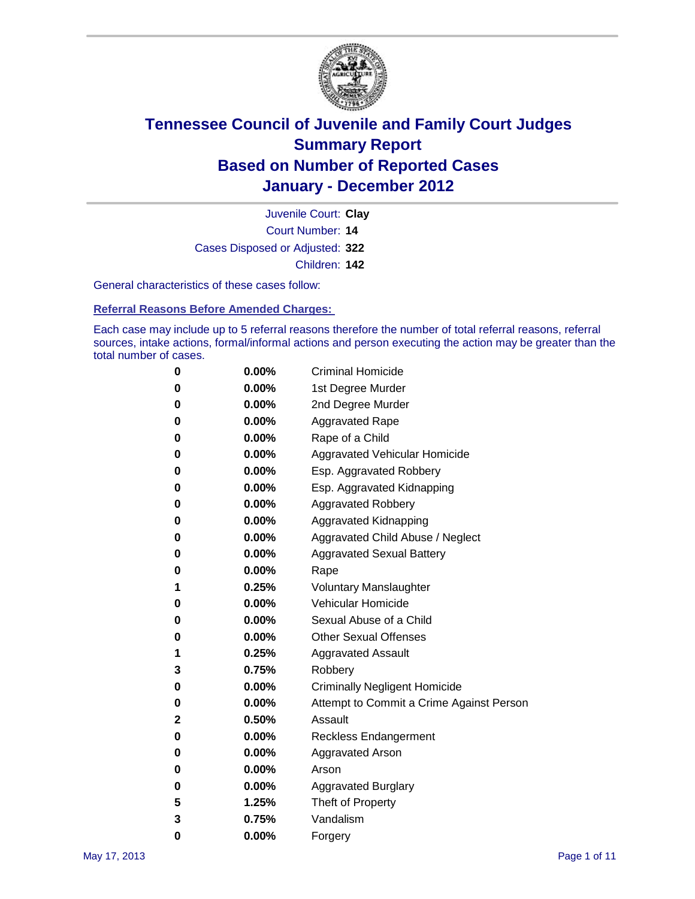

Court Number: **14** Juvenile Court: **Clay** Cases Disposed or Adjusted: **322** Children: **142**

General characteristics of these cases follow:

**Referral Reasons Before Amended Charges:** 

Each case may include up to 5 referral reasons therefore the number of total referral reasons, referral sources, intake actions, formal/informal actions and person executing the action may be greater than the total number of cases.

| 0 | $0.00\%$ | <b>Criminal Homicide</b>                 |
|---|----------|------------------------------------------|
| 0 | $0.00\%$ | 1st Degree Murder                        |
| 0 | $0.00\%$ | 2nd Degree Murder                        |
| 0 | $0.00\%$ | <b>Aggravated Rape</b>                   |
| 0 | $0.00\%$ | Rape of a Child                          |
| 0 | $0.00\%$ | Aggravated Vehicular Homicide            |
| 0 | $0.00\%$ | Esp. Aggravated Robbery                  |
| 0 | $0.00\%$ | Esp. Aggravated Kidnapping               |
| 0 | $0.00\%$ | <b>Aggravated Robbery</b>                |
| 0 | $0.00\%$ | Aggravated Kidnapping                    |
| 0 | 0.00%    | Aggravated Child Abuse / Neglect         |
| 0 | 0.00%    | <b>Aggravated Sexual Battery</b>         |
| 0 | $0.00\%$ | Rape                                     |
| 1 | 0.25%    | <b>Voluntary Manslaughter</b>            |
| 0 | $0.00\%$ | Vehicular Homicide                       |
| 0 | $0.00\%$ | Sexual Abuse of a Child                  |
| 0 | $0.00\%$ | <b>Other Sexual Offenses</b>             |
| 1 | 0.25%    | <b>Aggravated Assault</b>                |
| 3 | 0.75%    | Robbery                                  |
| 0 | $0.00\%$ | <b>Criminally Negligent Homicide</b>     |
| 0 | $0.00\%$ | Attempt to Commit a Crime Against Person |
| 2 | 0.50%    | Assault                                  |
| 0 | $0.00\%$ | <b>Reckless Endangerment</b>             |
| 0 | $0.00\%$ | <b>Aggravated Arson</b>                  |
| 0 | $0.00\%$ | Arson                                    |
| 0 | $0.00\%$ | <b>Aggravated Burglary</b>               |
| 5 | 1.25%    | Theft of Property                        |
| 3 | 0.75%    | Vandalism                                |
| 0 | 0.00%    | Forgery                                  |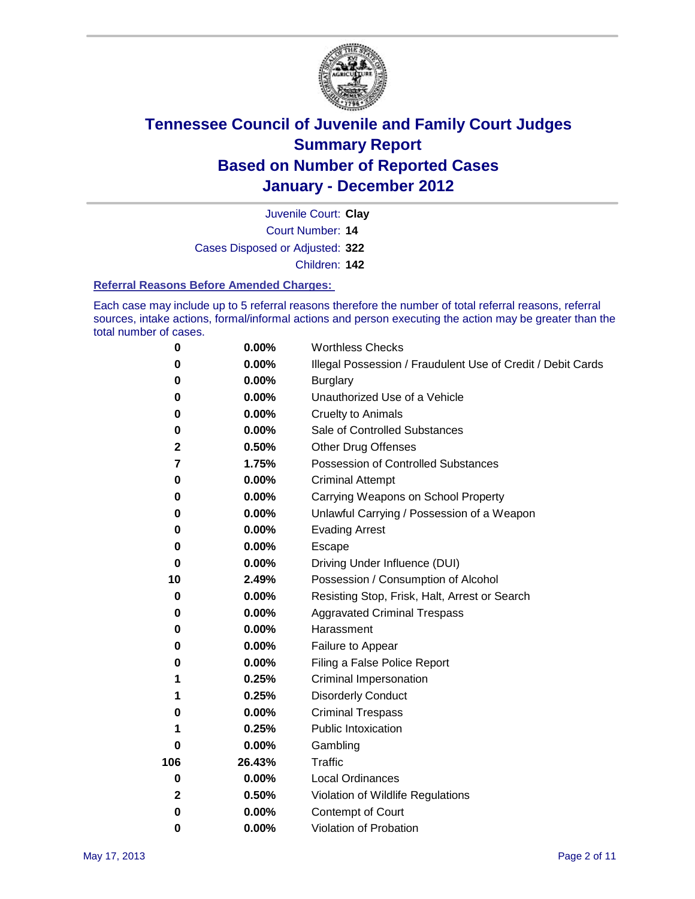

Court Number: **14** Juvenile Court: **Clay** Cases Disposed or Adjusted: **322** Children: **142**

#### **Referral Reasons Before Amended Charges:**

Each case may include up to 5 referral reasons therefore the number of total referral reasons, referral sources, intake actions, formal/informal actions and person executing the action may be greater than the total number of cases.

| $\pmb{0}$ | 0.00%    | <b>Worthless Checks</b>                                     |  |  |
|-----------|----------|-------------------------------------------------------------|--|--|
| 0         | 0.00%    | Illegal Possession / Fraudulent Use of Credit / Debit Cards |  |  |
| 0         | 0.00%    | <b>Burglary</b>                                             |  |  |
| 0         | 0.00%    | Unauthorized Use of a Vehicle                               |  |  |
| 0         | $0.00\%$ | <b>Cruelty to Animals</b>                                   |  |  |
| $\bf{0}$  | 0.00%    | Sale of Controlled Substances                               |  |  |
| 2         | 0.50%    | <b>Other Drug Offenses</b>                                  |  |  |
| 7         | 1.75%    | Possession of Controlled Substances                         |  |  |
| 0         | $0.00\%$ | <b>Criminal Attempt</b>                                     |  |  |
| 0         | 0.00%    | Carrying Weapons on School Property                         |  |  |
| 0         | $0.00\%$ | Unlawful Carrying / Possession of a Weapon                  |  |  |
| 0         | $0.00\%$ | <b>Evading Arrest</b>                                       |  |  |
| 0         | 0.00%    | Escape                                                      |  |  |
| 0         | 0.00%    | Driving Under Influence (DUI)                               |  |  |
| 10        | 2.49%    | Possession / Consumption of Alcohol                         |  |  |
| 0         | 0.00%    | Resisting Stop, Frisk, Halt, Arrest or Search               |  |  |
| 0         | 0.00%    | <b>Aggravated Criminal Trespass</b>                         |  |  |
| 0         | $0.00\%$ | Harassment                                                  |  |  |
| 0         | 0.00%    | Failure to Appear                                           |  |  |
| 0         | $0.00\%$ | Filing a False Police Report                                |  |  |
| 1         | 0.25%    | Criminal Impersonation                                      |  |  |
| 1         | 0.25%    | <b>Disorderly Conduct</b>                                   |  |  |
| 0         | $0.00\%$ | <b>Criminal Trespass</b>                                    |  |  |
| 1         | 0.25%    | Public Intoxication                                         |  |  |
| 0         | $0.00\%$ | Gambling                                                    |  |  |
| 106       | 26.43%   | <b>Traffic</b>                                              |  |  |
| 0         | $0.00\%$ | <b>Local Ordinances</b>                                     |  |  |
| 2         | 0.50%    | Violation of Wildlife Regulations                           |  |  |
| 0         | $0.00\%$ | Contempt of Court                                           |  |  |
| 0         | 0.00%    | Violation of Probation                                      |  |  |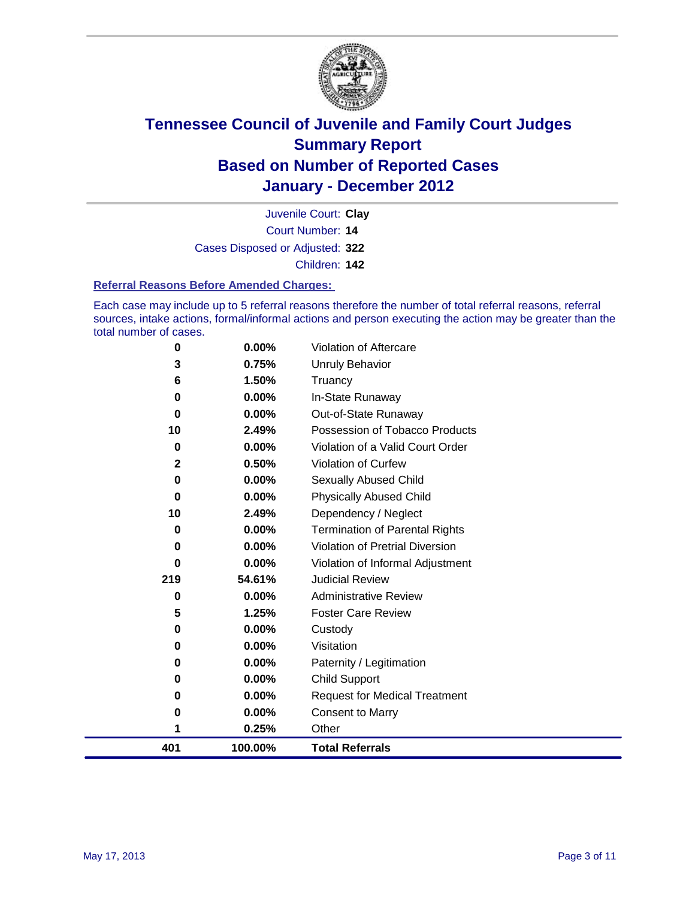

Court Number: **14** Juvenile Court: **Clay** Cases Disposed or Adjusted: **322** Children: **142**

#### **Referral Reasons Before Amended Charges:**

Each case may include up to 5 referral reasons therefore the number of total referral reasons, referral sources, intake actions, formal/informal actions and person executing the action may be greater than the total number of cases.

| 0           | 0.00%    | Violation of Aftercare                 |
|-------------|----------|----------------------------------------|
| 3           | 0.75%    | Unruly Behavior                        |
| 6           | 1.50%    | Truancy                                |
| 0           | 0.00%    | In-State Runaway                       |
| 0           | 0.00%    | Out-of-State Runaway                   |
| 10          | 2.49%    | Possession of Tobacco Products         |
| 0           | 0.00%    | Violation of a Valid Court Order       |
| $\mathbf 2$ | 0.50%    | Violation of Curfew                    |
| 0           | $0.00\%$ | Sexually Abused Child                  |
| 0           | 0.00%    | <b>Physically Abused Child</b>         |
| 10          | 2.49%    | Dependency / Neglect                   |
| 0           | 0.00%    | <b>Termination of Parental Rights</b>  |
| 0           | 0.00%    | <b>Violation of Pretrial Diversion</b> |
| $\bf{0}$    | 0.00%    | Violation of Informal Adjustment       |
| 219         | 54.61%   | <b>Judicial Review</b>                 |
| 0           | 0.00%    | <b>Administrative Review</b>           |
| 5           | 1.25%    | <b>Foster Care Review</b>              |
| 0           | 0.00%    | Custody                                |
| 0           | 0.00%    | Visitation                             |
| 0           | 0.00%    | Paternity / Legitimation               |
| 0           | 0.00%    | <b>Child Support</b>                   |
| 0           | 0.00%    | <b>Request for Medical Treatment</b>   |
| 0           | 0.00%    | <b>Consent to Marry</b>                |
|             | 0.25%    | Other                                  |
| 401         | 100.00%  | <b>Total Referrals</b>                 |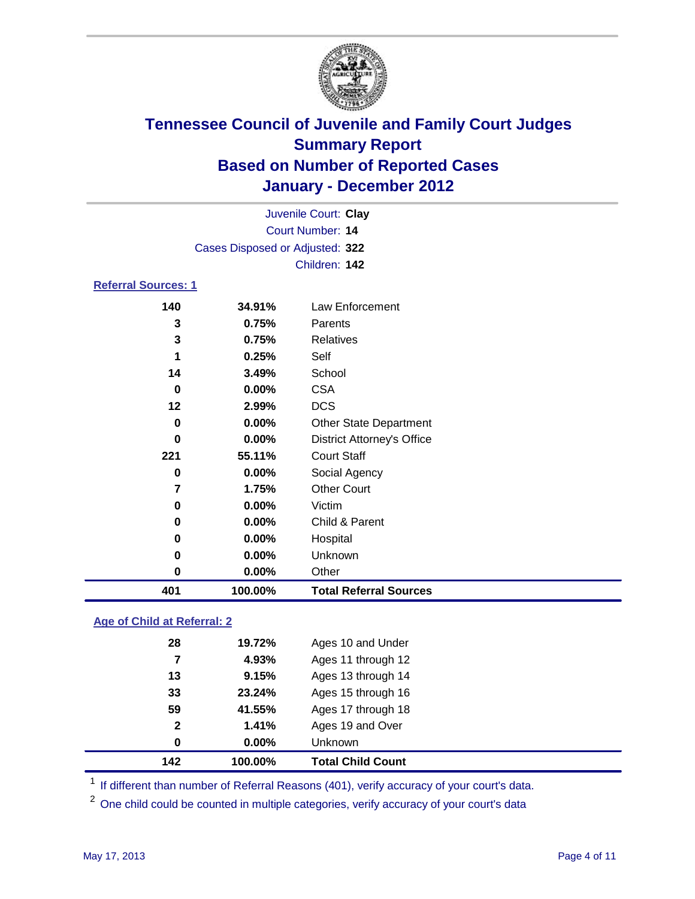

| Juvenile Court: Clay            |        |                                   |  |  |  |  |  |
|---------------------------------|--------|-----------------------------------|--|--|--|--|--|
| Court Number: 14                |        |                                   |  |  |  |  |  |
| Cases Disposed or Adjusted: 322 |        |                                   |  |  |  |  |  |
|                                 |        | Children: 142                     |  |  |  |  |  |
| <b>Referral Sources: 1</b>      |        |                                   |  |  |  |  |  |
| 140                             | 34.91% | Law Enforcement                   |  |  |  |  |  |
| 3                               | 0.75%  | Parents                           |  |  |  |  |  |
| 3                               | 0.75%  | <b>Relatives</b>                  |  |  |  |  |  |
| 1                               | 0.25%  | Self                              |  |  |  |  |  |
| 14                              | 3.49%  | School                            |  |  |  |  |  |
| 0                               | 0.00%  | <b>CSA</b>                        |  |  |  |  |  |
| 12                              | 2.99%  | <b>DCS</b>                        |  |  |  |  |  |
| 0                               | 0.00%  | <b>Other State Department</b>     |  |  |  |  |  |
| 0                               | 0.00%  | <b>District Attorney's Office</b> |  |  |  |  |  |
| 221                             | 55.11% | <b>Court Staff</b>                |  |  |  |  |  |
| 0                               | 0.00%  | Social Agency                     |  |  |  |  |  |
| 7                               | 1.75%  | <b>Other Court</b>                |  |  |  |  |  |
| 0                               | 0.00%  | Victim                            |  |  |  |  |  |
| 0                               | 0.00%  | Child & Parent                    |  |  |  |  |  |
| 0                               | 0.00%  | Hospital                          |  |  |  |  |  |
| 0                               | 0.00%  | Unknown                           |  |  |  |  |  |

**Age of Child at Referral: 2**

| 142          | 100.00% | <b>Total Child Count</b> |  |
|--------------|---------|--------------------------|--|
| 0            | 0.00%   | Unknown                  |  |
| $\mathbf{2}$ | 1.41%   | Ages 19 and Over         |  |
| 59           | 41.55%  | Ages 17 through 18       |  |
| 33           | 23.24%  | Ages 15 through 16       |  |
| 13           | 9.15%   | Ages 13 through 14       |  |
| 7            | 4.93%   | Ages 11 through 12       |  |
| 28           | 19.72%  | Ages 10 and Under        |  |
|              |         |                          |  |

<sup>1</sup> If different than number of Referral Reasons (401), verify accuracy of your court's data.

**0.00%** Other

**100.00% Total Referral Sources**

<sup>2</sup> One child could be counted in multiple categories, verify accuracy of your court's data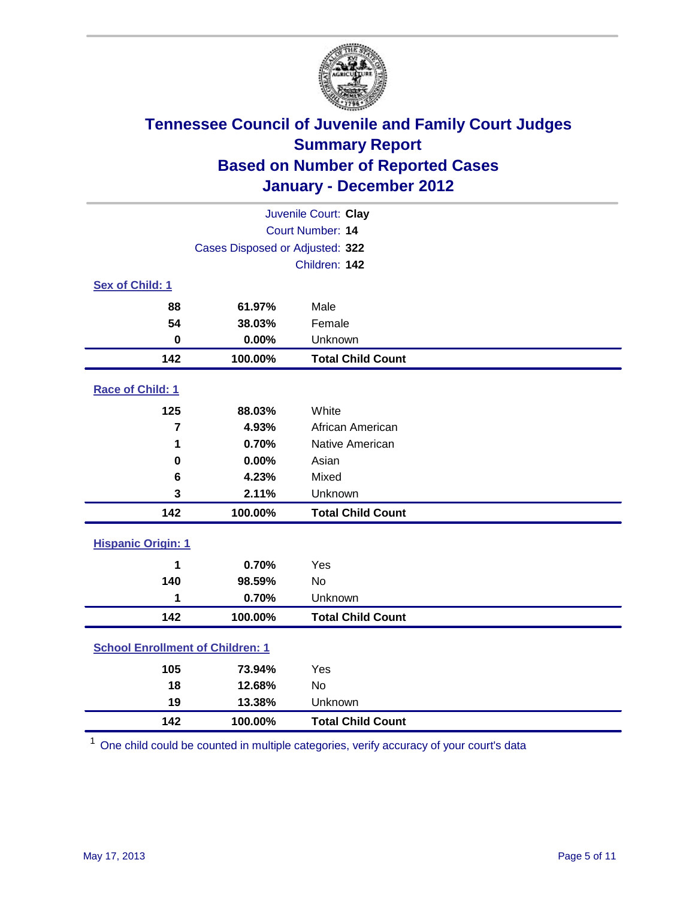

| Juvenile Court: Clay                    |                                 |                          |  |  |  |
|-----------------------------------------|---------------------------------|--------------------------|--|--|--|
|                                         | Court Number: 14                |                          |  |  |  |
|                                         | Cases Disposed or Adjusted: 322 |                          |  |  |  |
|                                         |                                 | Children: 142            |  |  |  |
| Sex of Child: 1                         |                                 |                          |  |  |  |
| 88                                      | 61.97%                          | Male                     |  |  |  |
| 54                                      | 38.03%                          | Female                   |  |  |  |
| $\mathbf 0$                             | 0.00%                           | Unknown                  |  |  |  |
| 142                                     | 100.00%                         | <b>Total Child Count</b> |  |  |  |
| Race of Child: 1                        |                                 |                          |  |  |  |
| 125                                     | 88.03%                          | White                    |  |  |  |
| $\overline{7}$                          | 4.93%                           | African American         |  |  |  |
| 1                                       | 0.70%                           | Native American          |  |  |  |
| $\mathbf 0$                             | 0.00%                           | Asian                    |  |  |  |
| 6                                       | 4.23%                           | Mixed                    |  |  |  |
| 3                                       | 2.11%                           | Unknown                  |  |  |  |
| 142                                     | 100.00%                         | <b>Total Child Count</b> |  |  |  |
| <b>Hispanic Origin: 1</b>               |                                 |                          |  |  |  |
| 1                                       | 0.70%                           | Yes                      |  |  |  |
| 140                                     | 98.59%                          | No                       |  |  |  |
| 1                                       | 0.70%                           | Unknown                  |  |  |  |
| 142                                     | 100.00%                         | <b>Total Child Count</b> |  |  |  |
| <b>School Enrollment of Children: 1</b> |                                 |                          |  |  |  |
| 105                                     | 73.94%                          | Yes                      |  |  |  |
| 18                                      | 12.68%                          | <b>No</b>                |  |  |  |
| 19                                      | 13.38%                          | Unknown                  |  |  |  |
| 142                                     | 100.00%                         | <b>Total Child Count</b> |  |  |  |

One child could be counted in multiple categories, verify accuracy of your court's data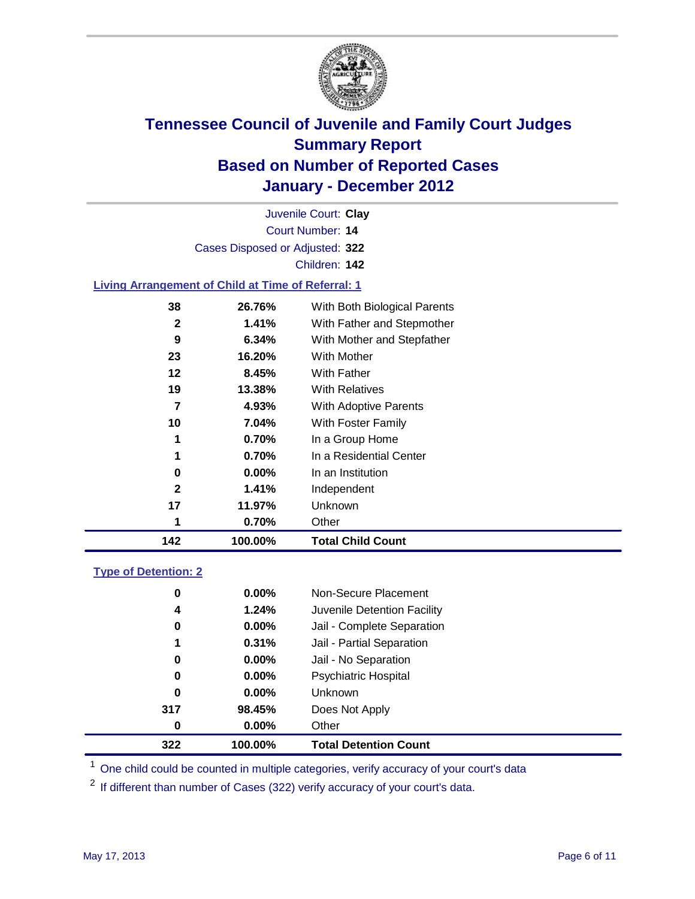

| Juvenile Court: Clay                        |
|---------------------------------------------|
| Court Number: 14                            |
| Cases Disposed or Adjusted: 322             |
| Children: 142                               |
| a Aggananan at Child at Time of Defensel. 4 |

### **Living Arrangement of Child at Time of Referral: 1**

| 142          | 100.00%  | <b>Total Child Count</b>     |
|--------------|----------|------------------------------|
| 1            | 0.70%    | Other                        |
| 17           | 11.97%   | <b>Unknown</b>               |
| $\mathbf{2}$ | 1.41%    | Independent                  |
| 0            | $0.00\%$ | In an Institution            |
| 1            | 0.70%    | In a Residential Center      |
| 1            | 0.70%    | In a Group Home              |
| 10           | 7.04%    | With Foster Family           |
| 7            | 4.93%    | With Adoptive Parents        |
| 19           | 13.38%   | <b>With Relatives</b>        |
| 12           | 8.45%    | With Father                  |
| 23           | 16.20%   | With Mother                  |
| 9            | 6.34%    | With Mother and Stepfather   |
| $\mathbf{2}$ | 1.41%    | With Father and Stepmother   |
| 38           | 26.76%   | With Both Biological Parents |
|              |          |                              |

### **Type of Detention: 2**

| 322 | 100.00%  | <b>Total Detention Count</b> |  |
|-----|----------|------------------------------|--|
| 0   | $0.00\%$ | Other                        |  |
| 317 | 98.45%   | Does Not Apply               |  |
| 0   | $0.00\%$ | <b>Unknown</b>               |  |
| 0   | 0.00%    | <b>Psychiatric Hospital</b>  |  |
| 0   | 0.00%    | Jail - No Separation         |  |
| 1   | 0.31%    | Jail - Partial Separation    |  |
| 0   | $0.00\%$ | Jail - Complete Separation   |  |
| 4   | 1.24%    | Juvenile Detention Facility  |  |
| 0   | $0.00\%$ | Non-Secure Placement         |  |
|     |          |                              |  |

<sup>1</sup> One child could be counted in multiple categories, verify accuracy of your court's data

<sup>2</sup> If different than number of Cases (322) verify accuracy of your court's data.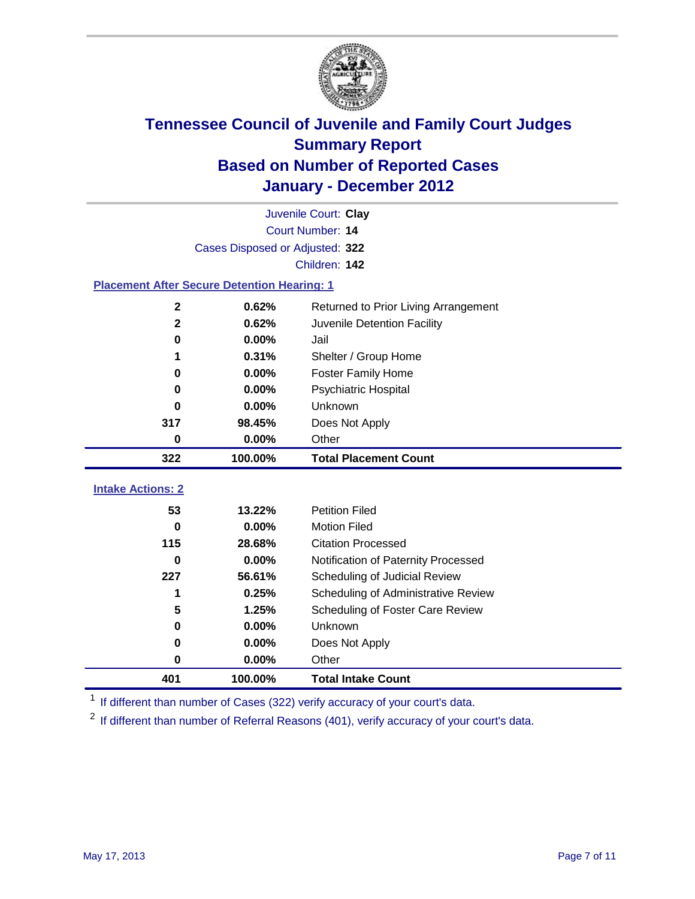

| Juvenile Court: Clay                               |                                 |                                      |  |  |  |  |
|----------------------------------------------------|---------------------------------|--------------------------------------|--|--|--|--|
|                                                    | Court Number: 14                |                                      |  |  |  |  |
|                                                    | Cases Disposed or Adjusted: 322 |                                      |  |  |  |  |
|                                                    |                                 | Children: 142                        |  |  |  |  |
| <b>Placement After Secure Detention Hearing: 1</b> |                                 |                                      |  |  |  |  |
| $\mathbf 2$                                        | 0.62%                           | Returned to Prior Living Arrangement |  |  |  |  |
| $\overline{\mathbf{2}}$                            | 0.62%                           | Juvenile Detention Facility          |  |  |  |  |
| 0                                                  | 0.00%                           | Jail                                 |  |  |  |  |
| 1                                                  | 0.31%                           | Shelter / Group Home                 |  |  |  |  |
| $\mathbf 0$                                        | 0.00%                           | <b>Foster Family Home</b>            |  |  |  |  |
| 0                                                  | 0.00%                           | Psychiatric Hospital                 |  |  |  |  |
| 0                                                  | 0.00%                           | Unknown                              |  |  |  |  |
| 317                                                | 98.45%                          | Does Not Apply                       |  |  |  |  |
| 0                                                  | 0.00%                           | Other                                |  |  |  |  |
| 322                                                | 100.00%                         | <b>Total Placement Count</b>         |  |  |  |  |
|                                                    |                                 |                                      |  |  |  |  |
| <b>Intake Actions: 2</b>                           |                                 |                                      |  |  |  |  |
| 53                                                 | 13.22%                          | <b>Petition Filed</b>                |  |  |  |  |
| $\bf{0}$                                           | 0.00%                           | <b>Motion Filed</b>                  |  |  |  |  |
| 115                                                | 28.68%                          | <b>Citation Processed</b>            |  |  |  |  |
| 0                                                  | 0.00%                           | Notification of Paternity Processed  |  |  |  |  |
| 227                                                | 56.61%                          | Scheduling of Judicial Review        |  |  |  |  |
| 1                                                  | 0.25%                           | Scheduling of Administrative Review  |  |  |  |  |
| 5                                                  | 1.25%                           | Scheduling of Foster Care Review     |  |  |  |  |
| $\bf{0}$                                           | 0.00%                           | Unknown                              |  |  |  |  |
| 0                                                  | 0.00%                           | Does Not Apply                       |  |  |  |  |
| $\pmb{0}$                                          | 0.00%                           | Other                                |  |  |  |  |
| 401                                                | 100.00%                         | <b>Total Intake Count</b>            |  |  |  |  |

<sup>1</sup> If different than number of Cases (322) verify accuracy of your court's data.

<sup>2</sup> If different than number of Referral Reasons (401), verify accuracy of your court's data.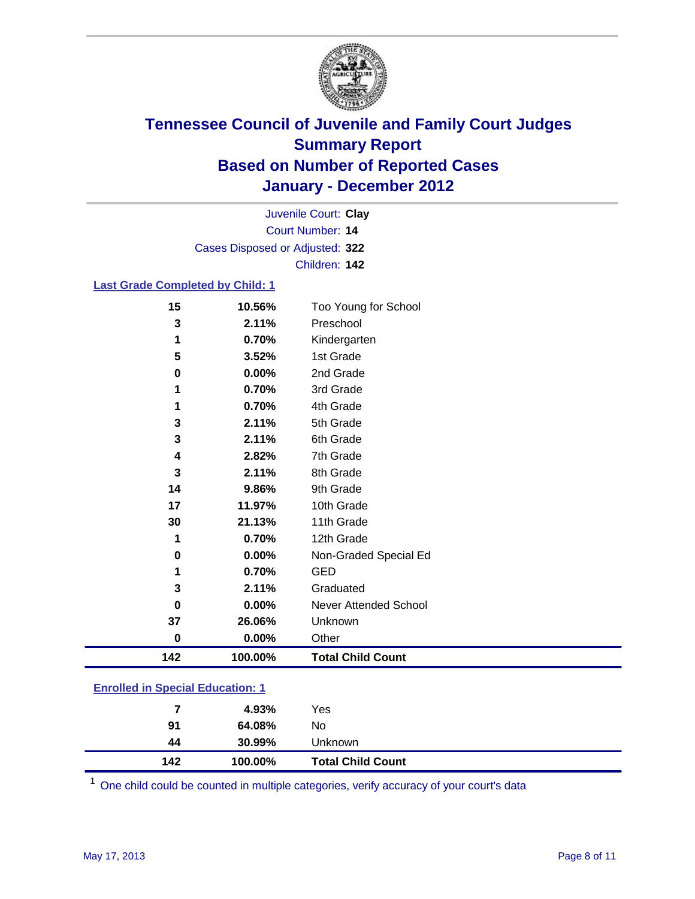

Court Number: **14** Juvenile Court: **Clay** Cases Disposed or Adjusted: **322** Children: **142**

### **Last Grade Completed by Child: 1**

| 0.00%  | Other                                      |
|--------|--------------------------------------------|
| 26.06% | Unknown                                    |
| 0.00%  | Never Attended School                      |
| 2.11%  | Graduated                                  |
| 0.70%  | <b>GED</b>                                 |
| 0.00%  | Non-Graded Special Ed                      |
| 0.70%  | 12th Grade                                 |
| 21.13% | 11th Grade                                 |
| 11.97% | 10th Grade                                 |
| 9.86%  | 9th Grade                                  |
| 2.11%  | 8th Grade                                  |
| 2.82%  | 7th Grade                                  |
| 2.11%  | 6th Grade                                  |
| 2.11%  | 5th Grade                                  |
| 0.70%  | 4th Grade                                  |
| 0.70%  | 3rd Grade                                  |
|        | 2nd Grade                                  |
|        | 1st Grade                                  |
|        | Kindergarten                               |
|        | Too Young for School<br>Preschool          |
|        | 10.56%<br>2.11%<br>0.70%<br>3.52%<br>0.00% |

### **Enrolled in Special Education: 1**

| 142 | 100.00%    | <b>Total Child Count</b> |
|-----|------------|--------------------------|
| 44  | 30.99%     | Unknown                  |
| 91  | 64.08%     | No                       |
|     | 4.93%<br>7 | Yes                      |
|     |            |                          |

One child could be counted in multiple categories, verify accuracy of your court's data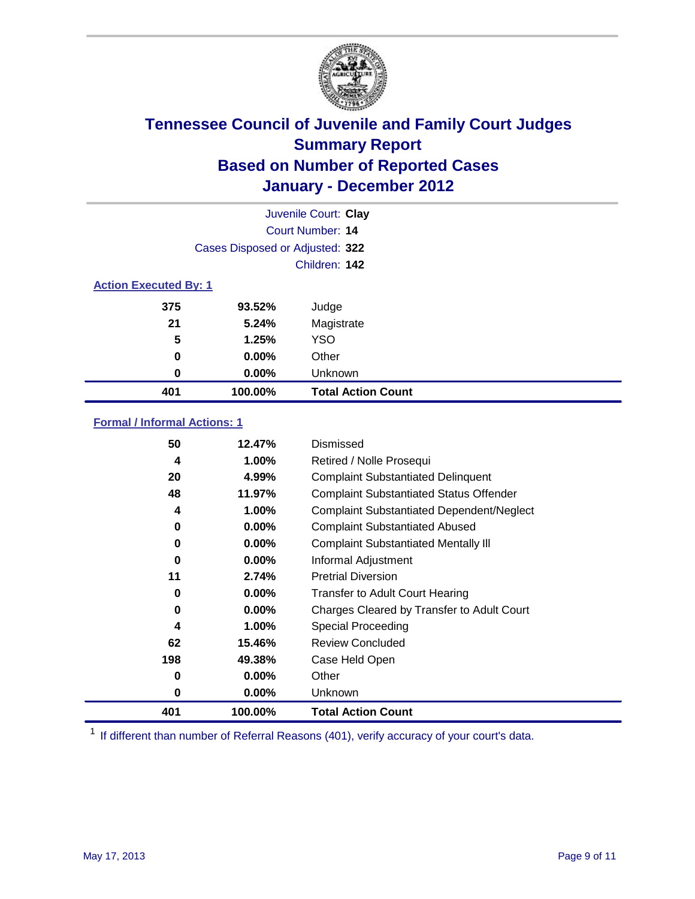

|                              |                                 | Juvenile Court: Clay      |  |
|------------------------------|---------------------------------|---------------------------|--|
|                              | <b>Court Number: 14</b>         |                           |  |
|                              | Cases Disposed or Adjusted: 322 |                           |  |
|                              |                                 | Children: 142             |  |
| <b>Action Executed By: 1</b> |                                 |                           |  |
| 375                          | 93.52%                          | Judge                     |  |
| 21                           | 5.24%                           | Magistrate                |  |
| 5                            | 1.25%                           | <b>YSO</b>                |  |
| 0                            | $0.00\%$                        | Other                     |  |
| 0                            | $0.00\%$                        | Unknown                   |  |
| 401                          | 100.00%                         | <b>Total Action Count</b> |  |

### **Formal / Informal Actions: 1**

| 50  | 12.47%   | Dismissed                                        |
|-----|----------|--------------------------------------------------|
| 4   | 1.00%    | Retired / Nolle Prosequi                         |
| 20  | 4.99%    | <b>Complaint Substantiated Delinquent</b>        |
| 48  | 11.97%   | <b>Complaint Substantiated Status Offender</b>   |
| 4   | 1.00%    | <b>Complaint Substantiated Dependent/Neglect</b> |
| 0   | $0.00\%$ | <b>Complaint Substantiated Abused</b>            |
| 0   | $0.00\%$ | <b>Complaint Substantiated Mentally III</b>      |
| 0   | $0.00\%$ | Informal Adjustment                              |
| 11  | 2.74%    | <b>Pretrial Diversion</b>                        |
| 0   | $0.00\%$ | <b>Transfer to Adult Court Hearing</b>           |
| 0   | $0.00\%$ | Charges Cleared by Transfer to Adult Court       |
| 4   | 1.00%    | Special Proceeding                               |
| 62  | 15.46%   | <b>Review Concluded</b>                          |
| 198 | 49.38%   | Case Held Open                                   |
| 0   | $0.00\%$ | Other                                            |
| 0   | $0.00\%$ | Unknown                                          |
| 401 | 100.00%  | <b>Total Action Count</b>                        |

<sup>1</sup> If different than number of Referral Reasons (401), verify accuracy of your court's data.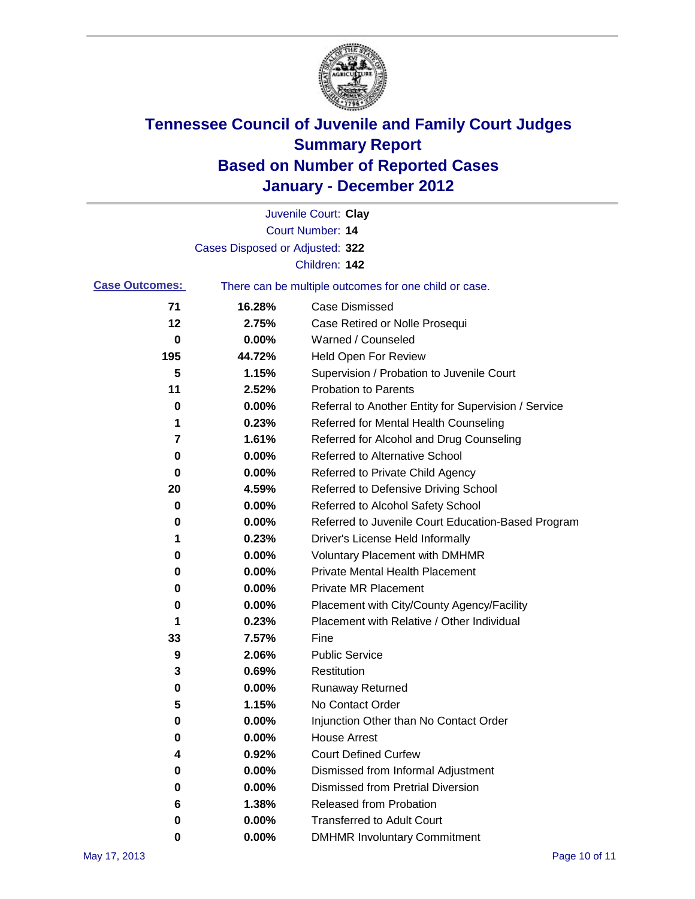

|                       |                                 | Juvenile Court: Clay                                  |
|-----------------------|---------------------------------|-------------------------------------------------------|
|                       |                                 | Court Number: 14                                      |
|                       | Cases Disposed or Adjusted: 322 |                                                       |
|                       |                                 | Children: 142                                         |
| <b>Case Outcomes:</b> |                                 | There can be multiple outcomes for one child or case. |
| 71                    | 16.28%                          | <b>Case Dismissed</b>                                 |
| 12                    | 2.75%                           | Case Retired or Nolle Prosequi                        |
| 0                     | 0.00%                           | Warned / Counseled                                    |
| 195                   | 44.72%                          | Held Open For Review                                  |
| 5                     | 1.15%                           | Supervision / Probation to Juvenile Court             |
| 11                    | 2.52%                           | <b>Probation to Parents</b>                           |
| 0                     | 0.00%                           | Referral to Another Entity for Supervision / Service  |
| 1                     | 0.23%                           | Referred for Mental Health Counseling                 |
| 7                     | 1.61%                           | Referred for Alcohol and Drug Counseling              |
| 0                     | 0.00%                           | <b>Referred to Alternative School</b>                 |
| 0                     | 0.00%                           | Referred to Private Child Agency                      |
| 20                    | 4.59%                           | Referred to Defensive Driving School                  |
| 0                     | 0.00%                           | Referred to Alcohol Safety School                     |
| 0                     | 0.00%                           | Referred to Juvenile Court Education-Based Program    |
| 1                     | 0.23%                           | Driver's License Held Informally                      |
| 0                     | 0.00%                           | <b>Voluntary Placement with DMHMR</b>                 |
| 0                     | 0.00%                           | <b>Private Mental Health Placement</b>                |
| 0                     | 0.00%                           | <b>Private MR Placement</b>                           |
| 0                     | 0.00%                           | Placement with City/County Agency/Facility            |
| 1                     | 0.23%                           | Placement with Relative / Other Individual            |
| 33                    | 7.57%                           | Fine                                                  |
| 9                     | 2.06%                           | <b>Public Service</b>                                 |
| 3                     | 0.69%                           | Restitution                                           |
| 0                     | 0.00%                           | <b>Runaway Returned</b>                               |
| 5                     | 1.15%                           | No Contact Order                                      |
| 0                     | 0.00%                           | Injunction Other than No Contact Order                |
| 0                     | 0.00%                           | <b>House Arrest</b>                                   |
| 4                     | 0.92%                           | <b>Court Defined Curfew</b>                           |
| 0                     | 0.00%                           | Dismissed from Informal Adjustment                    |
| 0                     | 0.00%                           | <b>Dismissed from Pretrial Diversion</b>              |
| 6                     | 1.38%                           | Released from Probation                               |
| 0                     | 0.00%                           | <b>Transferred to Adult Court</b>                     |
| 0                     | $0.00\%$                        | <b>DMHMR Involuntary Commitment</b>                   |